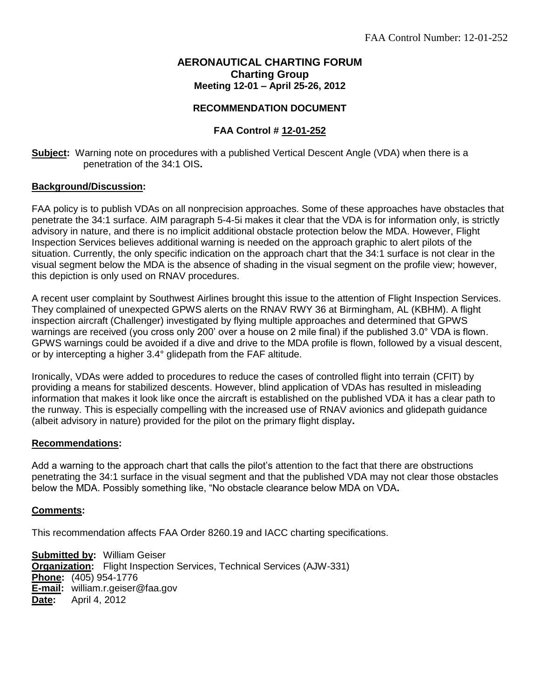# **AERONAUTICAL CHARTING FORUM Charting Group Meeting 12-01 – April 25-26, 2012**

## **RECOMMENDATION DOCUMENT**

## **FAA Control # 12-01-252**

**Subject:** Warning note on procedures with a published Vertical Descent Angle (VDA) when there is a penetration of the 34:1 OIS**.**

## **Background/Discussion:**

FAA policy is to publish VDAs on all nonprecision approaches. Some of these approaches have obstacles that penetrate the 34:1 surface. AIM paragraph 5-4-5i makes it clear that the VDA is for information only, is strictly advisory in nature, and there is no implicit additional obstacle protection below the MDA. However, Flight Inspection Services believes additional warning is needed on the approach graphic to alert pilots of the situation. Currently, the only specific indication on the approach chart that the 34:1 surface is not clear in the visual segment below the MDA is the absence of shading in the visual segment on the profile view; however, this depiction is only used on RNAV procedures.

A recent user complaint by Southwest Airlines brought this issue to the attention of Flight Inspection Services. They complained of unexpected GPWS alerts on the RNAV RWY 36 at Birmingham, AL (KBHM). A flight inspection aircraft (Challenger) investigated by flying multiple approaches and determined that GPWS warnings are received (you cross only 200' over a house on 2 mile final) if the published 3.0° VDA is flown. GPWS warnings could be avoided if a dive and drive to the MDA profile is flown, followed by a visual descent, or by intercepting a higher 3.4° glidepath from the FAF altitude.

Ironically, VDAs were added to procedures to reduce the cases of controlled flight into terrain (CFIT) by providing a means for stabilized descents. However, blind application of VDAs has resulted in misleading information that makes it look like once the aircraft is established on the published VDA it has a clear path to the runway. This is especially compelling with the increased use of RNAV avionics and glidepath guidance (albeit advisory in nature) provided for the pilot on the primary flight display**.** 

#### **Recommendations:**

Add a warning to the approach chart that calls the pilot's attention to the fact that there are obstructions penetrating the 34:1 surface in the visual segment and that the published VDA may not clear those obstacles below the MDA. Possibly something like, "No obstacle clearance below MDA on VDA**.**

#### **Comments:**

This recommendation affects FAA Order 8260.19 and IACC charting specifications.

**Submitted by:** William Geiser **Organization:** Flight Inspection Services, Technical Services (AJW-331) **Phone:** (405) 954-1776 **E-mail:** william.r.geiser@faa.gov **Date:** April 4, 2012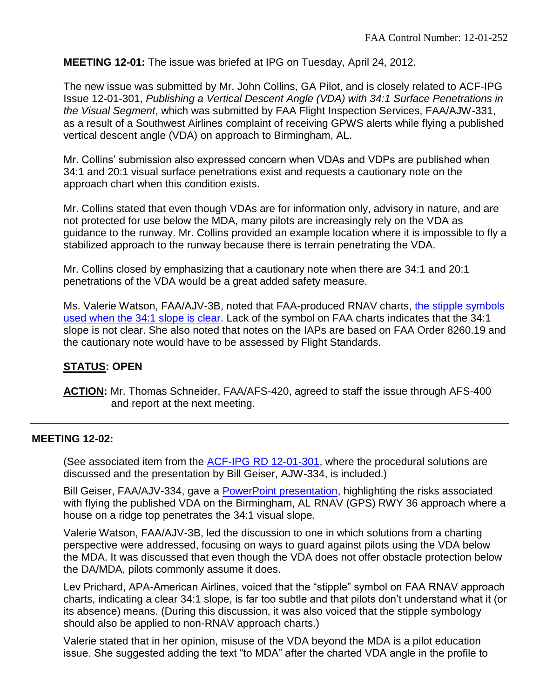**MEETING 12-01:** The issue was briefed at IPG on Tuesday, April 24, 2012.

The new issue was submitted by Mr. John Collins, GA Pilot, and is closely related to ACF-IPG Issue 12-01-301, *Publishing a Vertical Descent Angle (VDA) with 34:1 Surface Penetrations in the Visual Segment*, which was submitted by FAA Flight Inspection Services, FAA/AJW-331, as a result of a Southwest Airlines complaint of receiving GPWS alerts while flying a published vertical descent angle (VDA) on approach to Birmingham, AL.

Mr. Collins' submission also expressed concern when VDAs and VDPs are published when 34:1 and 20:1 visual surface penetrations exist and requests a cautionary note on the approach chart when this condition exists.

Mr. Collins stated that even though VDAs are for information only, advisory in nature, and are not protected for use below the MDA, many pilots are increasingly rely on the VDA as guidance to the runway. Mr. Collins provided an example location where it is impossible to fly a stabilized approach to the runway because there is terrain penetrating the VDA.

Mr. Collins closed by emphasizing that a cautionary note when there are 34:1 and 20:1 penetrations of the VDA would be a great added safety measure.

Ms. Valerie Watson, FAA/AJV-3B, noted that FAA-produced RNAV charts, [the stipple symbols](http://www.faa.gov/air_traffic/flight_info/aeronav/acf/media/Presentations/12-01-RD252-vda_profile_presentation.pdf)  [used when the 34:1 slope is clear.](http://www.faa.gov/air_traffic/flight_info/aeronav/acf/media/Presentations/12-01-RD252-vda_profile_presentation.pdf) Lack of the symbol on FAA charts indicates that the 34:1 slope is not clear. She also noted that notes on the IAPs are based on FAA Order 8260.19 and the cautionary note would have to be assessed by Flight Standards.

# **STATUS: OPEN**

**ACTION:** Mr. Thomas Schneider, FAA/AFS-420, agreed to staff the issue through AFS-400 and report at the next meeting.

# **MEETING 12-02:**

(See associated item from the [ACF-IPG RD 12-01-301,](http://www.faa.gov/about/office_org/headquarters_offices/avs/offices/afs/afs400/afs420/acfipg/open/media/Hist_12-01-301.pdf) where the procedural solutions are discussed and the presentation by Bill Geiser, AJW-334, is included.)

Bill Geiser, FAA/AJV-334, gave a [PowerPoint presentation,](http://www.faa.gov/air_traffic/flight_info/aeronav/acf/media/Presentations/12-02-RD252-Warning_note_VDA_Briefing.pdf) highlighting the risks associated with flying the published VDA on the Birmingham, AL RNAV (GPS) RWY 36 approach where a house on a ridge top penetrates the 34:1 visual slope.

Valerie Watson, FAA/AJV-3B, led the discussion to one in which solutions from a charting perspective were addressed, focusing on ways to guard against pilots using the VDA below the MDA. It was discussed that even though the VDA does not offer obstacle protection below the DA/MDA, pilots commonly assume it does.

Lev Prichard, APA-American Airlines, voiced that the "stipple" symbol on FAA RNAV approach charts, indicating a clear 34:1 slope, is far too subtle and that pilots don't understand what it (or its absence) means. (During this discussion, it was also voiced that the stipple symbology should also be applied to non-RNAV approach charts.)

Valerie stated that in her opinion, misuse of the VDA beyond the MDA is a pilot education issue. She suggested adding the text "to MDA" after the charted VDA angle in the profile to